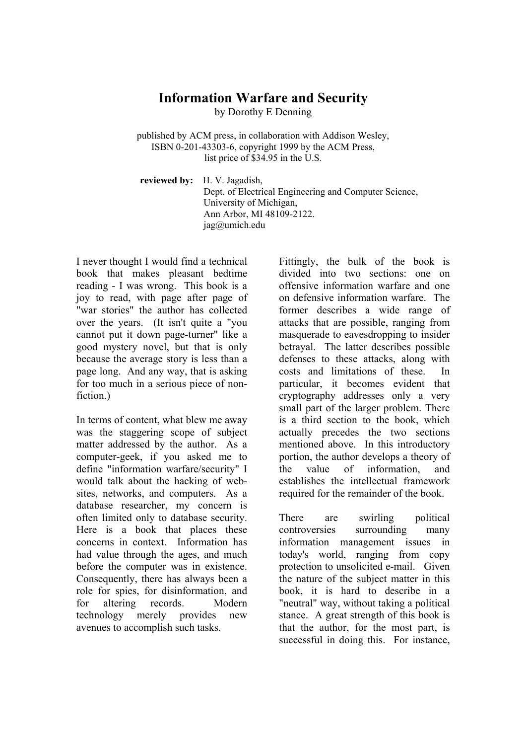## **Information Warfare and Security**

by Dorothy E Denning

published by ACM press, in collaboration with Addison Wesley, ISBN 0-201-43303-6, copyright 1999 by the ACM Press, list price of \$34.95 in the U.S.

**reviewed by:** H. V. Jagadish, Dept. of Electrical Engineering and Computer Science, University of Michigan, Ann Arbor, MI 48109-2122. jag@umich.edu

I never thought I would find a technical book that makes pleasant bedtime reading - I was wrong. This book is a joy to read, with page after page of "war stories" the author has collected over the years. (It isn't quite a "you cannot put it down page-turner" like a good mystery novel, but that is only because the average story is less than a page long. And any way, that is asking for too much in a serious piece of nonfiction.)

In terms of content, what blew me away was the staggering scope of subject matter addressed by the author. As a computer-geek, if you asked me to define "information warfare/security" I would talk about the hacking of websites, networks, and computers. As a database researcher, my concern is often limited only to database security. Here is a book that places these concerns in context. Information has had value through the ages, and much before the computer was in existence. Consequently, there has always been a role for spies, for disinformation, and for altering records. Modern technology merely provides new avenues to accomplish such tasks.

Fittingly, the bulk of the book is divided into two sections: one on offensive information warfare and one on defensive information warfare. The former describes a wide range of attacks that are possible, ranging from masquerade to eavesdropping to insider betrayal. The latter describes possible defenses to these attacks, along with costs and limitations of these. In particular, it becomes evident that cryptography addresses only a very small part of the larger problem. There is a third section to the book, which actually precedes the two sections mentioned above. In this introductory portion, the author develops a theory of the value of information, and establishes the intellectual framework required for the remainder of the book.

There are swirling political controversies surrounding many information management issues in today's world, ranging from copy protection to unsolicited e-mail. Given the nature of the subject matter in this book, it is hard to describe in a "neutral" way, without taking a political stance. A great strength of this book is that the author, for the most part, is successful in doing this. For instance,